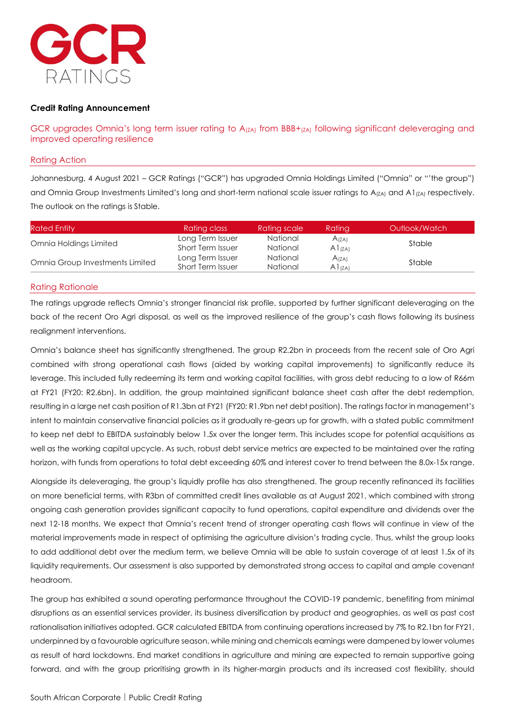

## **Credit Rating Announcement**

GCR upgrades Omnia's long term issuer rating to  $A_{(ZA)}$  from BBB+ $_{(ZA)}$  following significant deleveraging and improved operating resilience

## Rating Action

Johannesburg, 4 August 2021 – GCR Ratings ("GCR") has upgraded Omnia Holdings Limited ("Omnia" or "'the group") and Omnia Group Investments Limited's long and short-term national scale issuer ratings to  $A_{(ZA)}$  and A1 $_{(TA)}$  respectively. The outlook on the ratings is Stable.

| <b>Rated Entity</b>             | Rating class      | <b>Rating scale</b> | <b>Rating</b>     | Outlook/Watch |  |
|---------------------------------|-------------------|---------------------|-------------------|---------------|--|
| Omnia Holdings Limited          | Long Term Issuer  | National            | A(ZA)             | Stable        |  |
|                                 | Short Term Issuer | National            | $A1_{(ZA)}$       |               |  |
| Omnia Group Investments Limited | Long Term Issuer  | National            | A <sub>(ZA)</sub> |               |  |
|                                 | Short Term Issuer | National            | A1(7A)            | Stable        |  |

#### Rating Rationale

The ratings upgrade reflects Omnia's stronger financial risk profile, supported by further significant deleveraging on the back of the recent Oro Agri disposal, as well as the improved resilience of the group's cash flows following its business realignment interventions.

Omnia's balance sheet has significantly strengthened. The group R2.2bn in proceeds from the recent sale of Oro Agri combined with strong operational cash flows (aided by working capital improvements) to significantly reduce its leverage. This included fully redeeming its term and working capital facilities, with gross debt reducing to a low of R66m at FY21 (FY20: R2.6bn). In addition, the group maintained significant balance sheet cash after the debt redemption, resulting in a large net cash position of R1.3bn at FY21 (FY20: R1.9bn net debt position). The ratings factor in management's intent to maintain conservative financial policies as it gradually re-gears up for growth, with a stated public commitment to keep net debt to EBITDA sustainably below 1.5x over the longer term. This includes scope for potential acquisitions as well as the working capital upcycle. As such, robust debt service metrics are expected to be maintained over the rating horizon, with funds from operations to total debt exceeding 60% and interest cover to trend between the 8.0x-15x range.

Alongside its deleveraging, the group's liquidly profile has also strengthened. The group recently refinanced its facilities on more beneficial terms, with R3bn of committed credit lines available as at August 2021, which combined with strong ongoing cash generation provides significant capacity to fund operations, capital expenditure and dividends over the next 12-18 months. We expect that Omnia's recent trend of stronger operating cash flows will continue in view of the material improvements made in respect of optimising the agriculture division's trading cycle. Thus, whilst the group looks to add additional debt over the medium term, we believe Omnia will be able to sustain coverage of at least 1.5x of its liquidity requirements. Our assessment is also supported by demonstrated strong access to capital and ample covenant headroom.

The group has exhibited a sound operating performance throughout the COVID-19 pandemic, benefiting from minimal disruptions as an essential services provider, its business diversification by product and geographies, as well as past cost rationalisation initiatives adopted. GCR calculated EBITDA from continuing operations increased by 7% to R2.1bn for FY21, underpinned by a favourable agriculture season, while mining and chemicals earnings were dampened by lower volumes as result of hard lockdowns. End market conditions in agriculture and mining are expected to remain supportive going forward, and with the group prioritising growth in its higher-margin products and its increased cost flexibility, should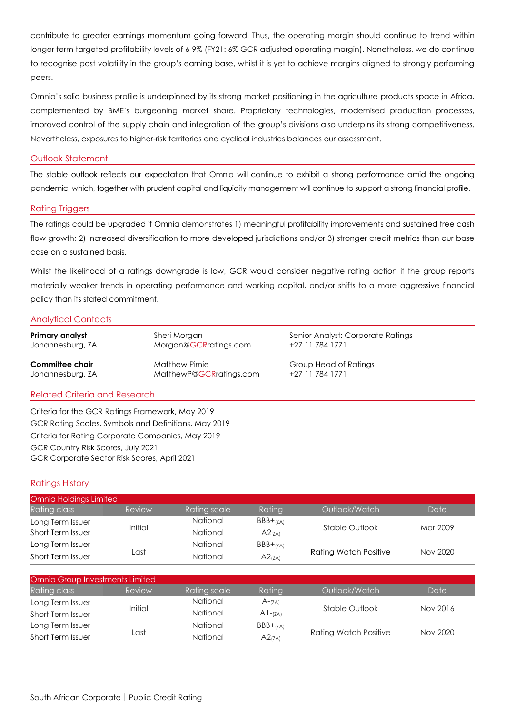contribute to greater earnings momentum going forward. Thus, the operating margin should continue to trend within longer term targeted profitability levels of 6-9% (FY21: 6% GCR adjusted operating margin). Nonetheless, we do continue to recognise past volatility in the group's earning base, whilst it is yet to achieve margins aligned to strongly performing peers.

Omnia's solid business profile is underpinned by its strong market positioning in the agriculture products space in Africa, complemented by BME's burgeoning market share. Proprietary technologies, modernised production processes, improved control of the supply chain and integration of the group's divisions also underpins its strong competitiveness. Nevertheless, exposures to higher-risk territories and cyclical industries balances our assessment.

## Outlook Statement

The stable outlook reflects our expectation that Omnia will continue to exhibit a strong performance amid the ongoing pandemic, which, together with prudent capital and liquidity management will continue to support a strong financial profile.

## Rating Triggers

The ratings could be upgraded if Omnia demonstrates 1) meaningful profitability improvements and sustained free cash flow growth; 2) increased diversification to more developed jurisdictions and/or 3) stronger credit metrics than our base case on a sustained basis.

Whilst the likelihood of a ratings downgrade is low, GCR would consider negative rating action if the group reports materially weaker trends in operating performance and working capital, and/or shifts to a more aggressive financial policy than its stated commitment.

## Analytical Contacts

| Primary analyst  | Sheri Morgan            | Senior Analyst: Corporate Ratings |
|------------------|-------------------------|-----------------------------------|
| Johannesburg, ZA | Morgan@GCRratings.com   | +27 11 784 1771                   |
| Committee chair  | <b>Matthew Pirnie</b>   | Group Head of Ratings             |
| Johannesburg, ZA | MatthewP@GCRratings.com | +27 11 784 1771                   |

## Related Criteria and Research

Criteria for the GCR Ratings Framework, May 2019 GCR Rating Scales, Symbols and Definitions, May 2019 Criteria for Rating Corporate Companies, May 2019 GCR Country Risk Scores, July 2021 GCR Corporate Sector Risk Scores, April 2021

## Ratings History

| Omnia Holdings Limited |         |                 |            |                              |          |
|------------------------|---------|-----------------|------------|------------------------------|----------|
| Rating class           | Review  | Rating scale    | Ratina     | Outlook/Watch                | Date     |
| Long Term Issuer       |         | National        | $BBB+(ZA)$ | Stable Outlook               |          |
| Short Term Issuer      | Initial | <b>National</b> | A2(ZA)     |                              | Mar 2009 |
| Long Term Issuer       |         | <b>National</b> | $BBB+(ZA)$ | <b>Rating Watch Positive</b> |          |
| Short Term Issuer      | ∟ast    | <b>National</b> | A2(ZA)     |                              | Nov 2020 |

| Omnia Group Investments Limited |         |                 |                    |                              |          |
|---------------------------------|---------|-----------------|--------------------|------------------------------|----------|
| Rating class                    | Review  | Rating scale    | Ratina             | Outlook/Watch                | Date     |
| Long Term Issuer                | Initial | National        | $A$ -(ZA)          | Stable Outlook               |          |
| Short Term Issuer               |         | National        | $A1 - (ZA)$        |                              | Nov 2016 |
| Long Term Issuer                | Last    | <b>National</b> | $BBB+(ZA)$         | <b>Rating Watch Positive</b> |          |
| Short Term Issuer               |         | <b>National</b> | A2 <sub>(ZA)</sub> |                              | Nov 2020 |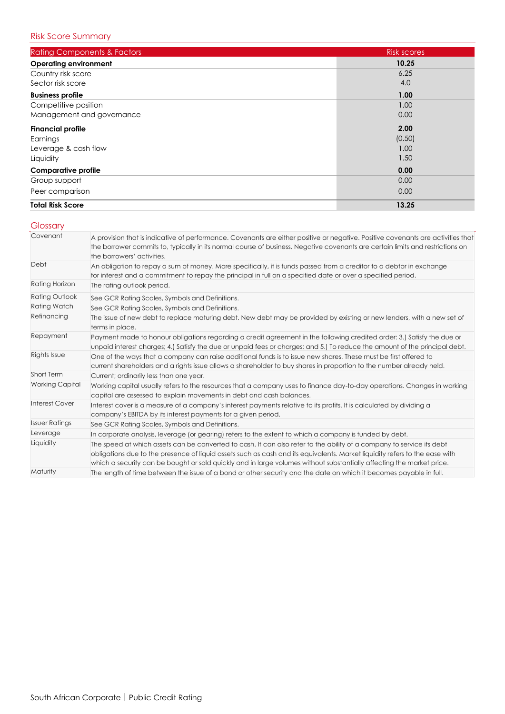| <b>Rating Components &amp; Factors</b> | <b>Risk scores</b> |
|----------------------------------------|--------------------|
| <b>Operating environment</b>           | 10.25              |
| Country risk score                     | 6.25               |
| Sector risk score                      | 4.0                |
| <b>Business profile</b>                | 1.00               |
| Competitive position                   | 1.00               |
| Management and governance              | 0.00               |
| <b>Financial profile</b>               | 2.00               |
| Earnings                               | (0.50)             |
| Leverage & cash flow                   | 1.00               |
| Liquidity                              | 1.50               |
| <b>Comparative profile</b>             | 0.00               |
| Group support                          | 0.00               |
| Peer comparison                        | 0.00               |
| <b>Total Risk Score</b>                | 13.25              |

# **Glossary**

| Covenant               | A provision that is indicative of performance. Covenants are either positive or negative. Positive covenants are activities that<br>the borrower commits to, typically in its normal course of business. Negative covenants are certain limits and restrictions on<br>the borrowers' activities.                                                                              |
|------------------------|-------------------------------------------------------------------------------------------------------------------------------------------------------------------------------------------------------------------------------------------------------------------------------------------------------------------------------------------------------------------------------|
| Debt                   | An obligation to repay a sum of money. More specifically, it is funds passed from a creditor to a debtor in exchange<br>for interest and a commitment to repay the principal in full on a specified date or over a specified period.                                                                                                                                          |
| Rating Horizon         | The rating outlook period.                                                                                                                                                                                                                                                                                                                                                    |
| <b>Rating Outlook</b>  | See GCR Rating Scales, Symbols and Definitions.                                                                                                                                                                                                                                                                                                                               |
| <b>Rating Watch</b>    | See GCR Rating Scales, Symbols and Definitions.                                                                                                                                                                                                                                                                                                                               |
| Refinancing            | The issue of new debt to replace maturing debt. New debt may be provided by existing or new lenders, with a new set of<br>terms in place.                                                                                                                                                                                                                                     |
| Repayment              | Payment made to honour obligations regarding a credit agreement in the following credited order: 3.) Satisfy the due or<br>unpaid interest charges; 4.) Satisfy the due or unpaid fees or charges; and 5.) To reduce the amount of the principal debt.                                                                                                                        |
| Rights Issue           | One of the ways that a company can raise additional funds is to issue new shares. These must be first offered to<br>current shareholders and a rights issue allows a shareholder to buy shares in proportion to the number already held.                                                                                                                                      |
| Short Term             | Current; ordinarily less than one year.                                                                                                                                                                                                                                                                                                                                       |
| <b>Working Capital</b> | Working capital usually refers to the resources that a company uses to finance day-to-day operations. Changes in working<br>capital are assessed to explain movements in debt and cash balances.                                                                                                                                                                              |
| <b>Interest Cover</b>  | Interest cover is a measure of a company's interest payments relative to its profits. It is calculated by dividing a<br>company's EBITDA by its interest payments for a given period.                                                                                                                                                                                         |
| <b>Issuer Ratings</b>  | See GCR Rating Scales, Symbols and Definitions.                                                                                                                                                                                                                                                                                                                               |
| Leverage               | In corporate analysis, leverage (or gearing) refers to the extent to which a company is funded by debt.                                                                                                                                                                                                                                                                       |
| Liquidity              | The speed at which assets can be converted to cash. It can also refer to the ability of a company to service its debt<br>obligations due to the presence of liquid assets such as cash and its equivalents. Market liquidity refers to the ease with<br>which a security can be bought or sold quickly and in large volumes without substantially affecting the market price. |
| Maturity               | The length of time between the issue of a bond or other security and the date on which it becomes payable in full.                                                                                                                                                                                                                                                            |